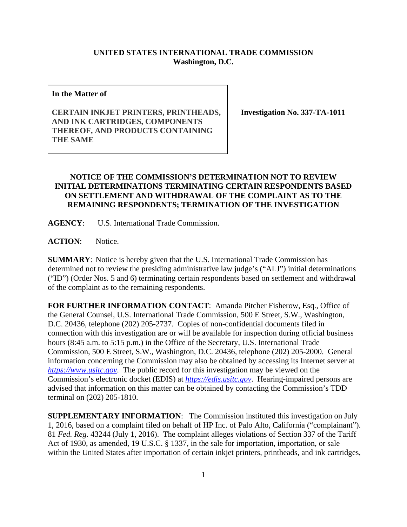## **UNITED STATES INTERNATIONAL TRADE COMMISSION Washington, D.C.**

**In the Matter of** 

**CERTAIN INKJET PRINTERS, PRINTHEADS, AND INK CARTRIDGES, COMPONENTS THEREOF, AND PRODUCTS CONTAINING THE SAME** 

**Investigation No. 337-TA-1011** 

## **NOTICE OF THE COMMISSION'S DETERMINATION NOT TO REVIEW INITIAL DETERMINATIONS TERMINATING CERTAIN RESPONDENTS BASED ON SETTLEMENT AND WITHDRAWAL OF THE COMPLAINT AS TO THE REMAINING RESPONDENTS; TERMINATION OF THE INVESTIGATION**

**AGENCY**: U.S. International Trade Commission.

**ACTION**: Notice.

**SUMMARY**: Notice is hereby given that the U.S. International Trade Commission has determined not to review the presiding administrative law judge's ("ALJ") initial determinations ("ID") (Order Nos. 5 and 6) terminating certain respondents based on settlement and withdrawal of the complaint as to the remaining respondents.

**FOR FURTHER INFORMATION CONTACT**: Amanda Pitcher Fisherow, Esq., Office of the General Counsel, U.S. International Trade Commission, 500 E Street, S.W., Washington, D.C. 20436, telephone (202) 205-2737. Copies of non-confidential documents filed in connection with this investigation are or will be available for inspection during official business hours (8:45 a.m. to 5:15 p.m.) in the Office of the Secretary, U.S. International Trade Commission, 500 E Street, S.W., Washington, D.C. 20436, telephone (202) 205-2000. General information concerning the Commission may also be obtained by accessing its Internet server at *https://www.usitc.gov*. The public record for this investigation may be viewed on the Commission's electronic docket (EDIS) at *https://edis.usitc.gov*. Hearing-impaired persons are advised that information on this matter can be obtained by contacting the Commission's TDD terminal on (202) 205-1810.

**SUPPLEMENTARY INFORMATION**: The Commission instituted this investigation on July 1, 2016, based on a complaint filed on behalf of HP Inc. of Palo Alto, California ("complainant"). 81 *Fed. Reg.* 43244 (July 1, 2016). The complaint alleges violations of Section 337 of the Tariff Act of 1930, as amended, 19 U.S.C. § 1337, in the sale for importation, importation, or sale within the United States after importation of certain inkjet printers, printheads, and ink cartridges,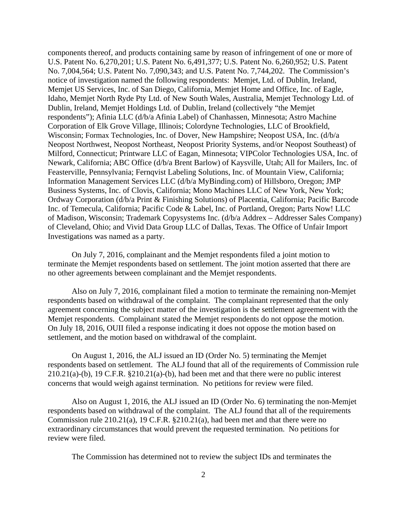components thereof, and products containing same by reason of infringement of one or more of U.S. Patent No. 6,270,201; U.S. Patent No. 6,491,377; U.S. Patent No. 6,260,952; U.S. Patent No. 7,004,564; U.S. Patent No. 7,090,343; and U.S. Patent No. 7,744,202. The Commission's notice of investigation named the following respondents: Memjet, Ltd. of Dublin, Ireland, Memjet US Services, Inc. of San Diego, California, Memjet Home and Office, Inc. of Eagle, Idaho, Memjet North Ryde Pty Ltd. of New South Wales, Australia, Memjet Technology Ltd. of Dublin, Ireland, Memjet Holdings Ltd. of Dublin, Ireland (collectively "the Memjet respondents"); Afinia LLC (d/b/a Afinia Label) of Chanhassen, Minnesota; Astro Machine Corporation of Elk Grove Village, Illinois; Colordyne Technologies, LLC of Brookfield, Wisconsin; Formax Technologies, Inc. of Dover, New Hampshire; Neopost USA, Inc. (d/b/a Neopost Northwest, Neopost Northeast, Neopost Priority Systems, and/or Neopost Southeast) of Milford, Connecticut; Printware LLC of Eagan, Minnesota; VIPColor Technologies USA, Inc. of Newark, California; ABC Office (d/b/a Brent Barlow) of Kaysville, Utah; All for Mailers, Inc. of Feasterville, Pennsylvania; Fernqvist Labeling Solutions, Inc. of Mountain View, California; Information Management Services LLC (d/b/a MyBinding.com) of Hillsboro, Oregon; JMP Business Systems, Inc. of Clovis, California; Mono Machines LLC of New York, New York; Ordway Corporation (d/b/a Print & Finishing Solutions) of Placentia, California; Pacific Barcode Inc. of Temecula, California; Pacific Code & Label, Inc. of Portland, Oregon; Parts Now! LLC of Madison, Wisconsin; Trademark Copysystems Inc. (d/b/a Addrex – Addresser Sales Company) of Cleveland, Ohio; and Vivid Data Group LLC of Dallas, Texas. The Office of Unfair Import Investigations was named as a party.

On July 7, 2016, complainant and the Memjet respondents filed a joint motion to terminate the Memjet respondents based on settlement. The joint motion asserted that there are no other agreements between complainant and the Memjet respondents.

Also on July 7, 2016, complainant filed a motion to terminate the remaining non-Memjet respondents based on withdrawal of the complaint. The complainant represented that the only agreement concerning the subject matter of the investigation is the settlement agreement with the Memjet respondents. Complainant stated the Memjet respondents do not oppose the motion. On July 18, 2016, OUII filed a response indicating it does not oppose the motion based on settlement, and the motion based on withdrawal of the complaint.

On August 1, 2016, the ALJ issued an ID (Order No. 5) terminating the Memjet respondents based on settlement. The ALJ found that all of the requirements of Commission rule 210.21(a)-(b), 19 C.F.R. §210.21(a)-(b), had been met and that there were no public interest concerns that would weigh against termination. No petitions for review were filed.

Also on August 1, 2016, the ALJ issued an ID (Order No. 6) terminating the non-Memjet respondents based on withdrawal of the complaint. The ALJ found that all of the requirements Commission rule 210.21(a), 19 C.F.R. §210.21(a), had been met and that there were no extraordinary circumstances that would prevent the requested termination. No petitions for review were filed.

The Commission has determined not to review the subject IDs and terminates the